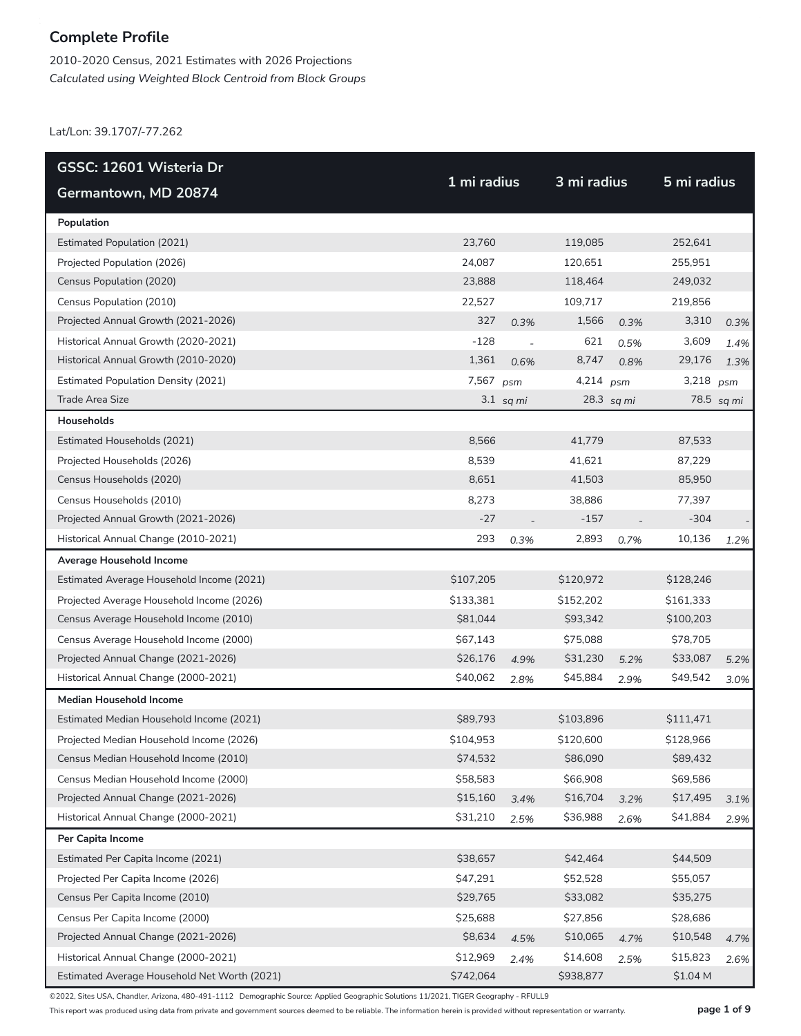2010-2020 Census, 2021 Estimates with 2026 Projections *Calculated using Weighted Block Centroid from Block Groups*

Lat/Lon: 39.1707/-77.262

| GSSC: 12601 Wisteria Dr                      |             |                          |             |            |             |            |
|----------------------------------------------|-------------|--------------------------|-------------|------------|-------------|------------|
| Germantown, MD 20874                         | 1 mi radius |                          | 3 mi radius |            | 5 mi radius |            |
| Population                                   |             |                          |             |            |             |            |
| <b>Estimated Population (2021)</b>           | 23,760      |                          | 119,085     |            | 252,641     |            |
| Projected Population (2026)                  | 24,087      |                          | 120,651     |            | 255,951     |            |
| Census Population (2020)                     | 23,888      |                          | 118,464     |            | 249,032     |            |
| Census Population (2010)                     | 22,527      |                          | 109,717     |            | 219,856     |            |
| Projected Annual Growth (2021-2026)          | 327         | 0.3%                     | 1,566       | 0.3%       | 3,310       | 0.3%       |
| Historical Annual Growth (2020-2021)         | $-128$      | $\overline{\phantom{0}}$ | 621         | 0.5%       | 3,609       | 1.4%       |
| Historical Annual Growth (2010-2020)         | 1,361       | 0.6%                     | 8,747       | 0.8%       | 29,176      | 1.3%       |
| <b>Estimated Population Density (2021)</b>   | 7,567 psm   |                          | 4,214 $psm$ |            | 3,218       | psm        |
| Trade Area Size                              |             | $3.1$ sq mi              |             | 28.3 sq mi |             | 78.5 sq mi |
| <b>Households</b>                            |             |                          |             |            |             |            |
| Estimated Households (2021)                  | 8,566       |                          | 41,779      |            | 87,533      |            |
| Projected Households (2026)                  | 8,539       |                          | 41,621      |            | 87,229      |            |
| Census Households (2020)                     | 8,651       |                          | 41,503      |            | 85,950      |            |
| Census Households (2010)                     | 8,273       |                          | 38,886      |            | 77,397      |            |
| Projected Annual Growth (2021-2026)          | $-27$       |                          | $-157$      |            | $-304$      |            |
| Historical Annual Change (2010-2021)         | 293         | 0.3%                     | 2,893       | 0.7%       | 10,136      | 1.2%       |
| Average Household Income                     |             |                          |             |            |             |            |
| Estimated Average Household Income (2021)    | \$107,205   |                          | \$120,972   |            | \$128,246   |            |
| Projected Average Household Income (2026)    | \$133,381   |                          | \$152,202   |            | \$161,333   |            |
| Census Average Household Income (2010)       | \$81,044    |                          | \$93,342    |            | \$100,203   |            |
| Census Average Household Income (2000)       | \$67,143    |                          | \$75,088    |            | \$78,705    |            |
| Projected Annual Change (2021-2026)          | \$26,176    | 4.9%                     | \$31,230    | 5.2%       | \$33,087    | 5.2%       |
| Historical Annual Change (2000-2021)         | \$40,062    | 2.8%                     | \$45,884    | 2.9%       | \$49,542    | 3.0%       |
| <b>Median Household Income</b>               |             |                          |             |            |             |            |
| Estimated Median Household Income (2021)     | \$89,793    |                          | \$103,896   |            | \$111,471   |            |
| Projected Median Household Income (2026)     | \$104,953   |                          | \$120,600   |            | \$128,966   |            |
| Census Median Household Income (2010)        | \$74,532    |                          | \$86,090    |            | \$89,432    |            |
| Census Median Household Income (2000)        | \$58,583    |                          | \$66,908    |            | \$69,586    |            |
| Projected Annual Change (2021-2026)          | \$15,160    | 3.4%                     | \$16,704    | 3.2%       | \$17,495    | 3.1%       |
| Historical Annual Change (2000-2021)         | \$31,210    | 2.5%                     | \$36,988    | 2.6%       | \$41,884    | 2.9%       |
| Per Capita Income                            |             |                          |             |            |             |            |
| Estimated Per Capita Income (2021)           | \$38,657    |                          | \$42,464    |            | \$44,509    |            |
| Projected Per Capita Income (2026)           | \$47,291    |                          | \$52,528    |            | \$55,057    |            |
| Census Per Capita Income (2010)              | \$29,765    |                          | \$33,082    |            | \$35,275    |            |
| Census Per Capita Income (2000)              | \$25,688    |                          | \$27,856    |            | \$28,686    |            |
| Projected Annual Change (2021-2026)          | \$8,634     | 4.5%                     | \$10,065    | 4.7%       | \$10,548    | 4.7%       |
| Historical Annual Change (2000-2021)         | \$12,969    | 2.4%                     | \$14,608    | 2.5%       | \$15,823    | 2.6%       |
| Estimated Average Household Net Worth (2021) | \$742,064   |                          | \$938,877   |            | \$1.04 M    |            |

©2022, Sites USA, Chandler, Arizona, 480-491-1112 Demographic Source: Applied Geographic Solutions 11/2021, TIGER Geography - RFULL9

This report was produced using data from private and government sources deemed to be reliable. The information herein is provided without representation or warranty. **page 1 of 9**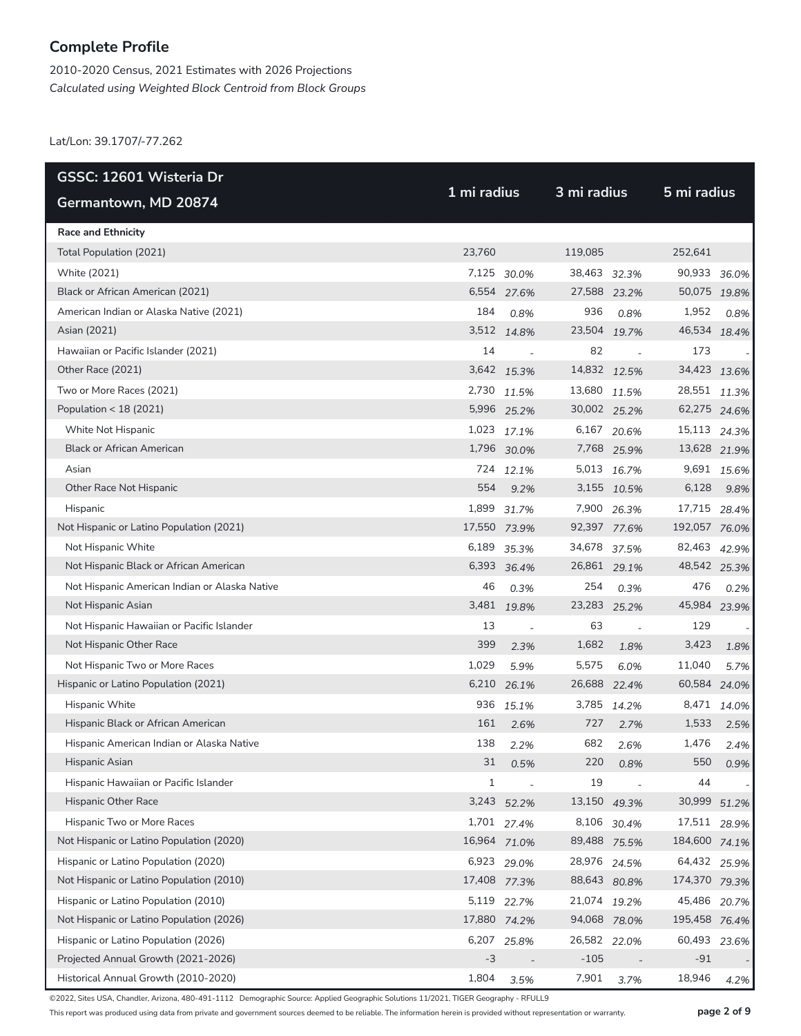2010-2020 Census, 2021 Estimates with 2026 Projections *Calculated using Weighted Block Centroid from Block Groups*

Lat/Lon: 39.1707/-77.262

| GSSC: 12601 Wisteria Dr                       |              |                |              | 3 mi radius |               |             |  |
|-----------------------------------------------|--------------|----------------|--------------|-------------|---------------|-------------|--|
| Germantown, MD 20874                          | 1 mi radius  |                |              |             | 5 mi radius   |             |  |
| <b>Race and Ethnicity</b>                     |              |                |              |             |               |             |  |
| Total Population (2021)                       | 23,760       |                | 119,085      |             | 252,641       |             |  |
| White (2021)                                  |              | 7,125 30.0%    | 38,463 32.3% |             | 90,933 36.0%  |             |  |
| Black or African American (2021)              |              | 6,554 27.6%    | 27,588 23.2% |             | 50,075 19.8%  |             |  |
| American Indian or Alaska Native (2021)       | 184          | 0.8%           | 936          | 0.8%        | 1,952         | 0.8%        |  |
| Asian (2021)                                  |              | 3,512 14.8%    | 23,504 19.7% |             | 46,534 18.4%  |             |  |
| Hawaiian or Pacific Islander (2021)           | 14           | $\sim$         | 82           |             | 173           |             |  |
| Other Race (2021)                             |              | 3,642 15.3%    | 14,832 12.5% |             | 34,423 13.6%  |             |  |
| Two or More Races (2021)                      |              | 2,730 11.5%    | 13,680 11.5% |             | 28,551 11.3%  |             |  |
| Population < 18 (2021)                        |              | 5,996 25.2%    | 30,002 25.2% |             | 62,275 24.6%  |             |  |
| White Not Hispanic                            |              | 1,023 17.1%    |              | 6,167 20.6% | 15,113 24.3%  |             |  |
| <b>Black or African American</b>              |              | 1,796 30.0%    |              | 7,768 25.9% | 13,628 21.9%  |             |  |
| Asian                                         |              | 724 12.1%      |              | 5,013 16.7% |               | 9,691 15.6% |  |
| Other Race Not Hispanic                       | 554          | 9.2%           |              | 3,155 10.5% | 6,128         | 9.8%        |  |
| Hispanic                                      |              | 1,899 31.7%    |              | 7,900 26.3% | 17,715 28.4%  |             |  |
| Not Hispanic or Latino Population (2021)      |              | 17,550 73.9%   | 92,397 77.6% |             | 192,057 76.0% |             |  |
| Not Hispanic White                            |              | 6,189 35.3%    | 34,678 37.5% |             | 82,463 42.9%  |             |  |
| Not Hispanic Black or African American        |              | 6,393 36.4%    | 26,861 29.1% |             | 48,542 25.3%  |             |  |
| Not Hispanic American Indian or Alaska Native | 46           | 0.3%           | 254          | 0.3%        | 476           | 0.2%        |  |
| Not Hispanic Asian                            |              | 3,481 19.8%    | 23,283 25.2% |             | 45,984 23.9%  |             |  |
| Not Hispanic Hawaiian or Pacific Islander     | 13           | $\overline{a}$ | 63           |             | 129           |             |  |
| Not Hispanic Other Race                       | 399          | 2.3%           | 1,682        | 1.8%        | 3,423         | 1.8%        |  |
| Not Hispanic Two or More Races                | 1,029        | 5.9%           | 5,575        | 6.0%        | 11,040        | 5.7%        |  |
| Hispanic or Latino Population (2021)          |              | 6,210 26.1%    | 26,688 22.4% |             | 60,584 24.0%  |             |  |
| Hispanic White                                | 936          | 15.1%          |              | 3,785 14.2% | 8,471         | 14.0%       |  |
| Hispanic Black or African American            | 161          | 2.6%           | 727          | 2.7%        | 1,533         | 2.5%        |  |
| Hispanic American Indian or Alaska Native     | 138          | 2.2%           | 682          | 2.6%        | 1,476         | 2.4%        |  |
| Hispanic Asian                                | 31           | 0.5%           | 220          | 0.8%        | 550           | 0.9%        |  |
| Hispanic Hawaiian or Pacific Islander         | $\mathbf{1}$ |                | 19           |             | 44            |             |  |
| Hispanic Other Race                           |              | 3,243 52.2%    | 13,150 49.3% |             | 30,999        | 51.2%       |  |
| Hispanic Two or More Races                    |              | 1,701 27.4%    |              | 8,106 30.4% | 17,511 28.9%  |             |  |
| Not Hispanic or Latino Population (2020)      |              | 16,964 71.0%   | 89,488 75.5% |             | 184,600 74.1% |             |  |
| Hispanic or Latino Population (2020)          |              | 6,923 29.0%    | 28,976 24.5% |             | 64,432 25.9%  |             |  |
| Not Hispanic or Latino Population (2010)      | 17,408 77.3% |                | 88,643 80.8% |             | 174,370 79.3% |             |  |
| Hispanic or Latino Population (2010)          |              | 5,119 22.7%    | 21,074 19.2% |             | 45,486        | 20.7%       |  |
| Not Hispanic or Latino Population (2026)      | 17,880 74.2% |                | 94,068 78.0% |             | 195,458 76.4% |             |  |
| Hispanic or Latino Population (2026)          |              | 6,207 25.8%    | 26,582 22.0% |             | 60,493        | 23.6%       |  |
| Projected Annual Growth (2021-2026)           | $-3$         |                | $-105$       |             | $-91$         |             |  |
| Historical Annual Growth (2010-2020)          | 1,804        | 3.5%           | 7,901        | 3.7%        | 18,946        | 4.2%        |  |

©2022, Sites USA, Chandler, Arizona, 480-491-1112 Demographic Source: Applied Geographic Solutions 11/2021, TIGER Geography - RFULL9

This report was produced using data from private and government sources deemed to be reliable. The information herein is provided without representation or warranty. **page 2 of 9**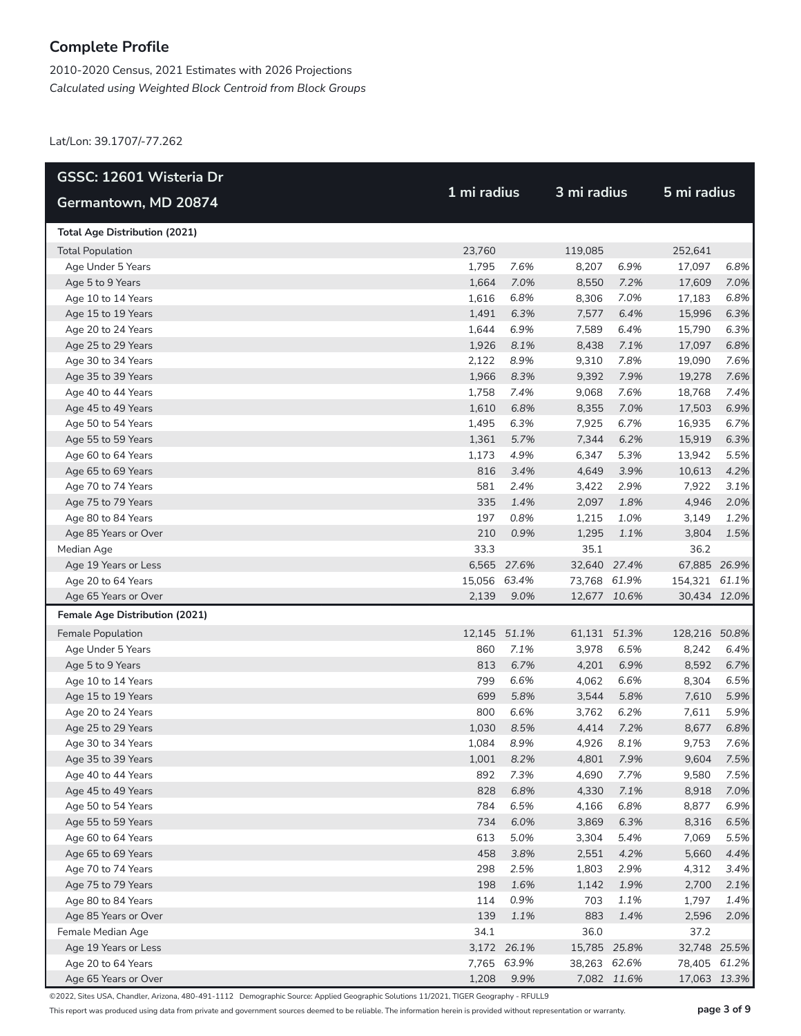2010-2020 Census, 2021 Estimates with 2026 Projections *Calculated using Weighted Block Centroid from Block Groups*

Lat/Lon: 39.1707/-77.262

| GSSC: 12601 Wisteria Dr              |              |             | 3 mi radius  |             | 5 mi radius   |      |
|--------------------------------------|--------------|-------------|--------------|-------------|---------------|------|
| Germantown, MD 20874                 | 1 mi radius  |             |              |             |               |      |
| <b>Total Age Distribution (2021)</b> |              |             |              |             |               |      |
| <b>Total Population</b>              | 23,760       |             | 119,085      |             | 252,641       |      |
| Age Under 5 Years                    | 1,795        | 7.6%        | 8,207        | 6.9%        | 17,097        | 6.8% |
| Age 5 to 9 Years                     | 1,664        | 7.0%        | 8,550        | 7.2%        | 17,609        | 7.0% |
| Age 10 to 14 Years                   | 1,616        | 6.8%        | 8,306        | 7.0%        | 17,183        | 6.8% |
| Age 15 to 19 Years                   | 1,491        | 6.3%        | 7,577        | 6.4%        | 15,996        | 6.3% |
| Age 20 to 24 Years                   | 1,644        | 6.9%        | 7,589        | 6.4%        | 15,790        | 6.3% |
| Age 25 to 29 Years                   | 1,926        | 8.1%        | 8,438        | 7.1%        | 17,097        | 6.8% |
| Age 30 to 34 Years                   | 2,122        | 8.9%        | 9,310        | 7.8%        | 19,090        | 7.6% |
| Age 35 to 39 Years                   | 1,966        | 8.3%        | 9,392        | 7.9%        | 19,278        | 7.6% |
| Age 40 to 44 Years                   | 1,758        | 7.4%        | 9,068        | 7.6%        | 18,768        | 7.4% |
| Age 45 to 49 Years                   | 1,610        | 6.8%        | 8,355        | 7.0%        | 17,503        | 6.9% |
| Age 50 to 54 Years                   | 1,495        | 6.3%        | 7,925        | 6.7%        | 16,935        | 6.7% |
| Age 55 to 59 Years                   | 1,361        | 5.7%        | 7,344        | 6.2%        | 15,919        | 6.3% |
| Age 60 to 64 Years                   | 1,173        | 4.9%        | 6,347        | 5.3%        | 13,942        | 5.5% |
| Age 65 to 69 Years                   | 816          | 3.4%        | 4,649        | 3.9%        | 10,613        | 4.2% |
| Age 70 to 74 Years                   | 581          | 2.4%        | 3,422        | 2.9%        | 7,922         | 3.1% |
| Age 75 to 79 Years                   | 335          | 1.4%        | 2,097        | 1.8%        | 4,946         | 2.0% |
| Age 80 to 84 Years                   | 197          | 0.8%        | 1,215        | 1.0%        | 3,149         | 1.2% |
| Age 85 Years or Over                 | 210          | 0.9%        | 1,295        | 1.1%        | 3,804         | 1.5% |
| Median Age                           | 33.3         |             | 35.1         |             | 36.2          |      |
| Age 19 Years or Less                 |              | 6,565 27.6% | 32,640 27.4% |             | 67,885 26.9%  |      |
| Age 20 to 64 Years                   | 15,056 63.4% |             | 73,768 61.9% |             | 154,321 61.1% |      |
| Age 65 Years or Over                 | 2,139        | 9.0%        | 12,677 10.6% |             | 30,434 12.0%  |      |
| Female Age Distribution (2021)       |              |             |              |             |               |      |
| Female Population                    | 12,145 51.1% |             | 61,131 51.3% |             | 128,216 50.8% |      |
| Age Under 5 Years                    | 860          | 7.1%        | 3,978        | 6.5%        | 8,242         | 6.4% |
| Age 5 to 9 Years                     | 813          | 6.7%        | 4,201        | 6.9%        | 8,592         | 6.7% |
| Age 10 to 14 Years                   | 799          | 6.6%        | 4,062        | 6.6%        | 8,304         | 6.5% |
| Age 15 to 19 Years                   | 699          | 5.8%        | 3,544        | 5.8%        | 7,610         | 5.9% |
| Age 20 to 24 Years                   | 800          | 6.6%        | 3,762        | 6.2%        | 7,611         | 5.9% |
| Age 25 to 29 Years                   | 1,030        | 8.5%        | 4,414        | 7.2%        | 8,677         | 6.8% |
| Age 30 to 34 Years                   | 1,084        | 8.9%        | 4,926        | 8.1%        | 9,753         | 7.6% |
| Age 35 to 39 Years                   | 1,001        | 8.2%        | 4,801        | 7.9%        | 9,604         | 7.5% |
| Age 40 to 44 Years                   | 892          | 7.3%        | 4,690        | 7.7%        | 9,580         | 7.5% |
| Age 45 to 49 Years                   | 828          | 6.8%        | 4,330        | 7.1%        | 8,918         | 7.0% |
| Age 50 to 54 Years                   | 784          | 6.5%        | 4,166        | 6.8%        | 8,877         | 6.9% |
| Age 55 to 59 Years                   | 734          | 6.0%        | 3,869        | 6.3%        | 8,316         | 6.5% |
| Age 60 to 64 Years                   | 613          | 5.0%        | 3,304        | 5.4%        | 7,069         | 5.5% |
| Age 65 to 69 Years                   | 458          | 3.8%        | 2,551        | 4.2%        | 5,660         | 4.4% |
| Age 70 to 74 Years                   | 298          | 2.5%        | 1,803        | 2.9%        | 4,312         | 3.4% |
| Age 75 to 79 Years                   | 198          | 1.6%        | 1,142        | 1.9%        | 2,700         | 2.1% |
| Age 80 to 84 Years                   | 114          | 0.9%        | 703          | 1.1%        | 1,797         | 1.4% |
| Age 85 Years or Over                 | 139          | 1.1%        | 883          | 1.4%        | 2,596         | 2.0% |
| Female Median Age                    | 34.1         |             | 36.0         |             | 37.2          |      |
| Age 19 Years or Less                 |              | 3,172 26.1% | 15,785 25.8% |             | 32,748 25.5%  |      |
| Age 20 to 64 Years                   |              | 7,765 63.9% | 38,263 62.6% |             | 78,405 61.2%  |      |
| Age 65 Years or Over                 | 1,208        | 9.9%        |              | 7,082 11.6% | 17,063 13.3%  |      |

©2022, Sites USA, Chandler, Arizona, 480-491-1112 Demographic Source: Applied Geographic Solutions 11/2021, TIGER Geography - RFULL9

This report was produced using data from private and government sources deemed to be reliable. The information herein is provided without representation or warranty. **page 3 of 9**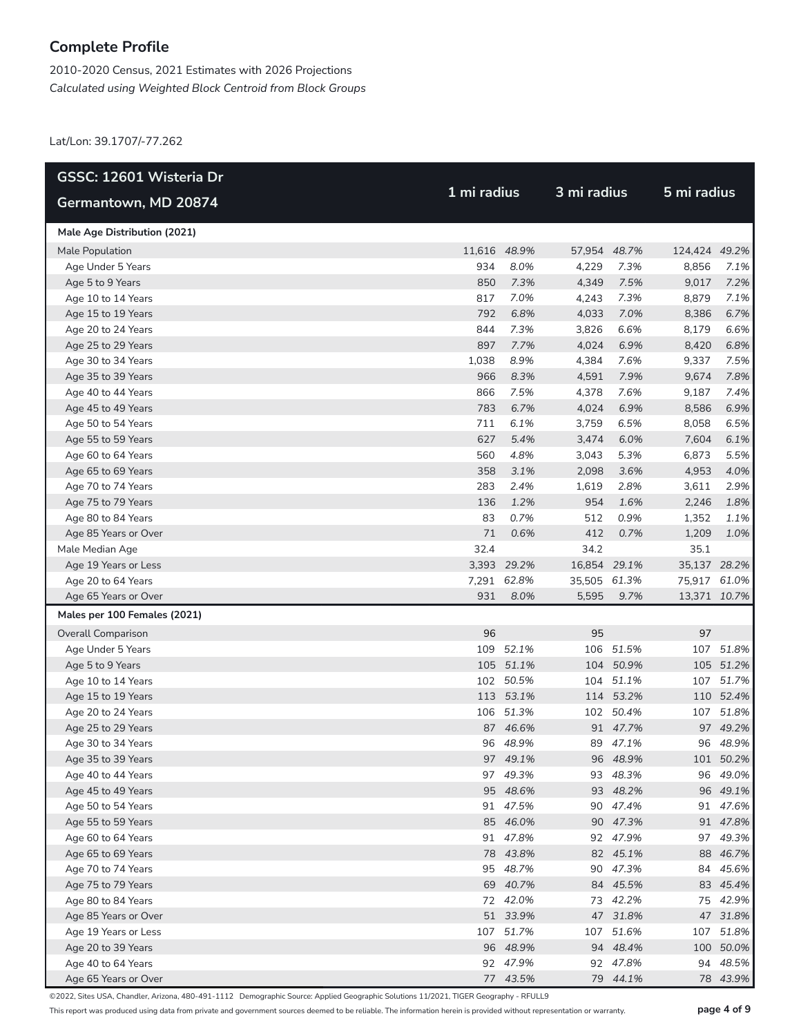2010-2020 Census, 2021 Estimates with 2026 Projections *Calculated using Weighted Block Centroid from Block Groups*

Lat/Lon: 39.1707/-77.262

| GSSC: 12601 Wisteria Dr      |              |             |              |           |               |           |  |
|------------------------------|--------------|-------------|--------------|-----------|---------------|-----------|--|
| Germantown, MD 20874         | 1 mi radius  |             | 3 mi radius  |           | 5 mi radius   |           |  |
| Male Age Distribution (2021) |              |             |              |           |               |           |  |
| Male Population              | 11,616 48.9% |             | 57,954 48.7% |           | 124,424 49.2% |           |  |
| Age Under 5 Years            | 934          | 8.0%        | 4,229        | 7.3%      | 8,856         | 7.1%      |  |
| Age 5 to 9 Years             | 850          | 7.3%        | 4,349        | 7.5%      | 9,017         | 7.2%      |  |
| Age 10 to 14 Years           | 817          | 7.0%        | 4,243        | 7.3%      | 8,879         | 7.1%      |  |
| Age 15 to 19 Years           | 792          | 6.8%        | 4,033        | 7.0%      | 8,386         | 6.7%      |  |
| Age 20 to 24 Years           | 844          | 7.3%        | 3,826        | 6.6%      | 8,179         | 6.6%      |  |
| Age 25 to 29 Years           | 897          | 7.7%        | 4,024        | 6.9%      | 8,420         | 6.8%      |  |
| Age 30 to 34 Years           | 1,038        | 8.9%        | 4,384        | 7.6%      | 9,337         | 7.5%      |  |
| Age 35 to 39 Years           | 966          | 8.3%        | 4,591        | 7.9%      | 9,674         | 7.8%      |  |
| Age 40 to 44 Years           | 866          | 7.5%        | 4,378        | 7.6%      | 9,187         | 7.4%      |  |
| Age 45 to 49 Years           | 783          | 6.7%        | 4,024        | 6.9%      | 8,586         | 6.9%      |  |
| Age 50 to 54 Years           | 711          | 6.1%        | 3,759        | 6.5%      | 8,058         | 6.5%      |  |
| Age 55 to 59 Years           | 627          | 5.4%        | 3,474        | 6.0%      | 7,604         | 6.1%      |  |
| Age 60 to 64 Years           | 560          | 4.8%        | 3,043        | 5.3%      | 6,873         | 5.5%      |  |
| Age 65 to 69 Years           | 358          | 3.1%        | 2,098        | 3.6%      | 4,953         | 4.0%      |  |
| Age 70 to 74 Years           | 283          | 2.4%        | 1,619        | 2.8%      | 3,611         | 2.9%      |  |
| Age 75 to 79 Years           | 136          | 1.2%        | 954          | 1.6%      | 2,246         | 1.8%      |  |
| Age 80 to 84 Years           | 83           | 0.7%        | 512          | 0.9%      | 1,352         | 1.1%      |  |
| Age 85 Years or Over         | 71           | 0.6%        | 412          | 0.7%      | 1,209         | 1.0%      |  |
| Male Median Age              | 32.4         |             | 34.2         |           | 35.1          |           |  |
| Age 19 Years or Less         |              | 3,393 29.2% | 16,854 29.1% |           | 35,137 28.2%  |           |  |
| Age 20 to 64 Years           |              | 7,291 62.8% | 35,505 61.3% |           | 75,917 61.0%  |           |  |
| Age 65 Years or Over         | 931          | 8.0%        | 5,595        | 9.7%      | 13,371 10.7%  |           |  |
| Males per 100 Females (2021) |              |             |              |           |               |           |  |
| <b>Overall Comparison</b>    | 96           |             | 95           |           | 97            |           |  |
| Age Under 5 Years            |              | 109 52.1%   | 106          | 51.5%     |               | 107 51.8% |  |
| Age 5 to 9 Years             |              | 105 51.1%   |              | 104 50.9% |               | 105 51.2% |  |
| Age 10 to 14 Years           |              | 102 50.5%   | 104          | 51.1%     |               | 107 51.7% |  |
| Age 15 to 19 Years           |              | 113 53.1%   |              | 114 53.2% |               | 110 52.4% |  |
| Age 20 to 24 Years           |              | 106 51.3%   |              | 102 50.4% |               | 107 51.8% |  |
| Age 25 to 29 Years           |              | 87 46.6%    |              | 91 47.7%  |               | 97 49.2%  |  |
| Age 30 to 34 Years           |              | 96 48.9%    |              | 89 47.1%  |               | 96 48.9%  |  |
| Age 35 to 39 Years           |              | 97 49.1%    |              | 96 48.9%  |               | 101 50.2% |  |
| Age 40 to 44 Years           |              | 97 49.3%    |              | 93 48.3%  |               | 96 49.0%  |  |
| Age 45 to 49 Years           |              | 95 48.6%    |              | 93 48.2%  |               | 96 49.1%  |  |
| Age 50 to 54 Years           |              | 91 47.5%    |              | 90 47.4%  |               | 91 47.6%  |  |
| Age 55 to 59 Years           |              | 85 46.0%    |              | 90 47.3%  |               | 91 47.8%  |  |
| Age 60 to 64 Years           |              | 91 47.8%    |              | 92 47.9%  |               | 97 49.3%  |  |
| Age 65 to 69 Years           |              | 78 43.8%    |              | 82 45.1%  |               | 88 46.7%  |  |
| Age 70 to 74 Years           |              | 95 48.7%    |              | 90 47.3%  |               | 84 45.6%  |  |
| Age 75 to 79 Years           |              | 69 40.7%    |              | 84 45.5%  |               | 83 45.4%  |  |
| Age 80 to 84 Years           |              | 72 42.0%    |              | 73 42.2%  |               | 75 42.9%  |  |
| Age 85 Years or Over         |              | 51 33.9%    |              | 47 31.8%  |               | 47 31.8%  |  |
| Age 19 Years or Less         |              | 107 51.7%   | 107          | 51.6%     |               | 107 51.8% |  |
| Age 20 to 39 Years           |              | 96 48.9%    |              | 94 48.4%  |               | 100 50.0% |  |
| Age 40 to 64 Years           |              | 92 47.9%    |              | 92 47.8%  |               | 94 48.5%  |  |
| Age 65 Years or Over         |              | 77 43.5%    |              | 79 44.1%  |               | 78 43.9%  |  |

©2022, Sites USA, Chandler, Arizona, 480-491-1112 Demographic Source: Applied Geographic Solutions 11/2021, TIGER Geography - RFULL9

This report was produced using data from private and government sources deemed to be reliable. The information herein is provided without representation or warranty. **page 4 of 9**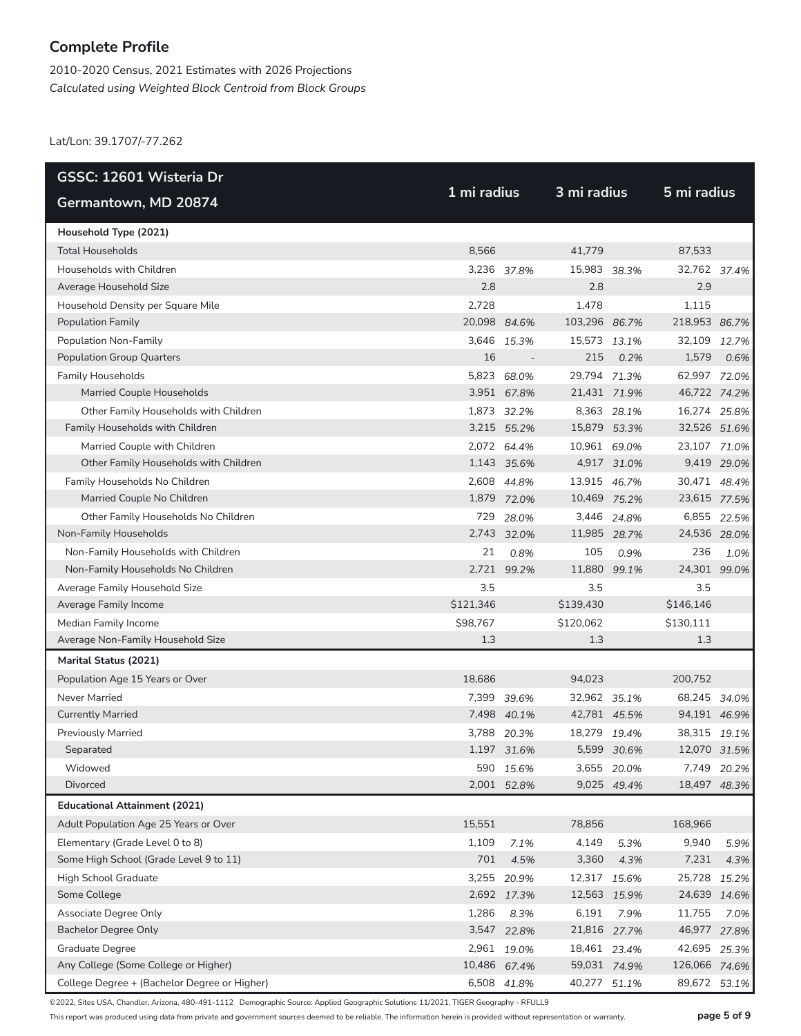2010-2020 Census, 2021 Estimates with 2026 Projections *Calculated using Weighted Block Centroid from Block Groups*

Lat/Lon: 39.1707/-77.262

| GSSC: 12601 Wisteria Dr                      | 1 mi radius  |             |               | 3 mi radius |               |             |  |
|----------------------------------------------|--------------|-------------|---------------|-------------|---------------|-------------|--|
| Germantown, MD 20874                         |              |             |               |             | 5 mi radius   |             |  |
| Household Type (2021)                        |              |             |               |             |               |             |  |
| <b>Total Households</b>                      | 8,566        |             | 41,779        |             | 87,533        |             |  |
| Households with Children                     |              | 3,236 37.8% | 15,983 38.3%  |             | 32,762 37.4%  |             |  |
| Average Household Size                       | 2.8          |             | 2.8           |             | 2.9           |             |  |
| Household Density per Square Mile            | 2,728        |             | 1,478         |             | 1.115         |             |  |
| Population Family                            | 20,098 84.6% |             | 103,296 86.7% |             | 218,953 86.7% |             |  |
| Population Non-Family                        |              | 3,646 15.3% | 15,573 13.1%  |             | 32,109 12.7%  |             |  |
| <b>Population Group Quarters</b>             | 16           |             | 215           | 0.2%        | 1,579         | 0.6%        |  |
| <b>Family Households</b>                     |              | 5,823 68.0% | 29,794 71.3%  |             | 62,997 72.0%  |             |  |
| Married Couple Households                    |              | 3,951 67.8% | 21,431 71.9%  |             | 46,722 74.2%  |             |  |
| Other Family Households with Children        |              | 1,873 32.2% |               | 8,363 28.1% | 16,274 25.8%  |             |  |
| Family Households with Children              |              | 3,215 55.2% | 15,879 53.3%  |             | 32,526 51.6%  |             |  |
| Married Couple with Children                 |              | 2,072 64.4% | 10,961 69.0%  |             | 23,107 71.0%  |             |  |
| Other Family Households with Children        |              | 1,143 35.6% |               | 4,917 31.0% |               | 9,419 29.0% |  |
| Family Households No Children                |              | 2,608 44.8% | 13,915 46.7%  |             | 30,471 48.4%  |             |  |
| Married Couple No Children                   |              | 1,879 72.0% | 10,469 75.2%  |             | 23,615 77.5%  |             |  |
| Other Family Households No Children          | 729          | 28.0%       |               | 3,446 24.8% |               | 6,855 22.5% |  |
| Non-Family Households                        |              | 2,743 32.0% | 11,985 28.7%  |             | 24,536 28.0%  |             |  |
| Non-Family Households with Children          | 21           | 0.8%        | 105           | 0.9%        | 236           | 1.0%        |  |
| Non-Family Households No Children            | 2,721        | 99.2%       | 11,880        | 99.1%       | 24,301 99.0%  |             |  |
| Average Family Household Size                | 3.5          |             | 3.5           |             | 3.5           |             |  |
| Average Family Income                        | \$121,346    |             | \$139,430     |             | \$146,146     |             |  |
| Median Family Income                         | \$98,767     |             | \$120,062     |             | \$130,111     |             |  |
| Average Non-Family Household Size            | 1.3          |             | 1.3           |             | 1.3           |             |  |
| Marital Status (2021)                        |              |             |               |             |               |             |  |
| Population Age 15 Years or Over              | 18,686       |             | 94,023        |             | 200,752       |             |  |
| Never Married                                |              | 7,399 39.6% | 32,962 35.1%  |             | 68,245 34.0%  |             |  |
| <b>Currently Married</b>                     |              | 7,498 40.1% | 42,781 45.5%  |             | 94,191 46.9%  |             |  |
| <b>Previously Married</b>                    |              | 3,788 20.3% | 18,279 19.4%  |             | 38,315 19.1%  |             |  |
| Separated                                    |              | 1,197 31.6% |               | 5,599 30.6% | 12,070 31.5%  |             |  |
| Widowed                                      |              | 590 15.6%   |               | 3,655 20.0% | 7,749         | 20.2%       |  |
| Divorced                                     |              | 2,001 52.8% |               | 9,025 49.4% | 18,497 48.3%  |             |  |
| <b>Educational Attainment (2021)</b>         |              |             |               |             |               |             |  |
| Adult Population Age 25 Years or Over        | 15,551       |             | 78,856        |             | 168,966       |             |  |
| Elementary (Grade Level 0 to 8)              | 1,109        | 7.1%        | 4,149         | 5.3%        | 9,940         | 5.9%        |  |
| Some High School (Grade Level 9 to 11)       | 701          | 4.5%        | 3,360         | 4.3%        | 7,231         | 4.3%        |  |
| High School Graduate                         | 3,255        | 20.9%       | 12,317 15.6%  |             | 25,728        | 15.2%       |  |
| Some College                                 |              | 2,692 17.3% | 12,563 15.9%  |             | 24,639 14.6%  |             |  |
| Associate Degree Only                        | 1,286        | 8.3%        | 6,191         | 7.9%        | 11,755        | 7.0%        |  |
| <b>Bachelor Degree Only</b>                  |              | 3,547 22.8% | 21,816 27.7%  |             | 46,977 27.8%  |             |  |
| Graduate Degree                              |              | 2,961 19.0% | 18,461 23.4%  |             | 42,695 25.3%  |             |  |
| Any College (Some College or Higher)         | 10,486 67.4% |             | 59,031 74.9%  |             | 126,066 74.6% |             |  |
| College Degree + (Bachelor Degree or Higher) |              | 6,508 41.8% | 40,277 51.1%  |             | 89,672 53.1%  |             |  |

©2022, Sites USA, Chandler, Arizona, 480-491-1112 Demographic Source: Applied Geographic Solutions 11/2021, TIGER Geography - RFULL9

This report was produced using data from private and government sources deemed to be reliable. The information herein is provided without representation or warranty. **page 5 of 9**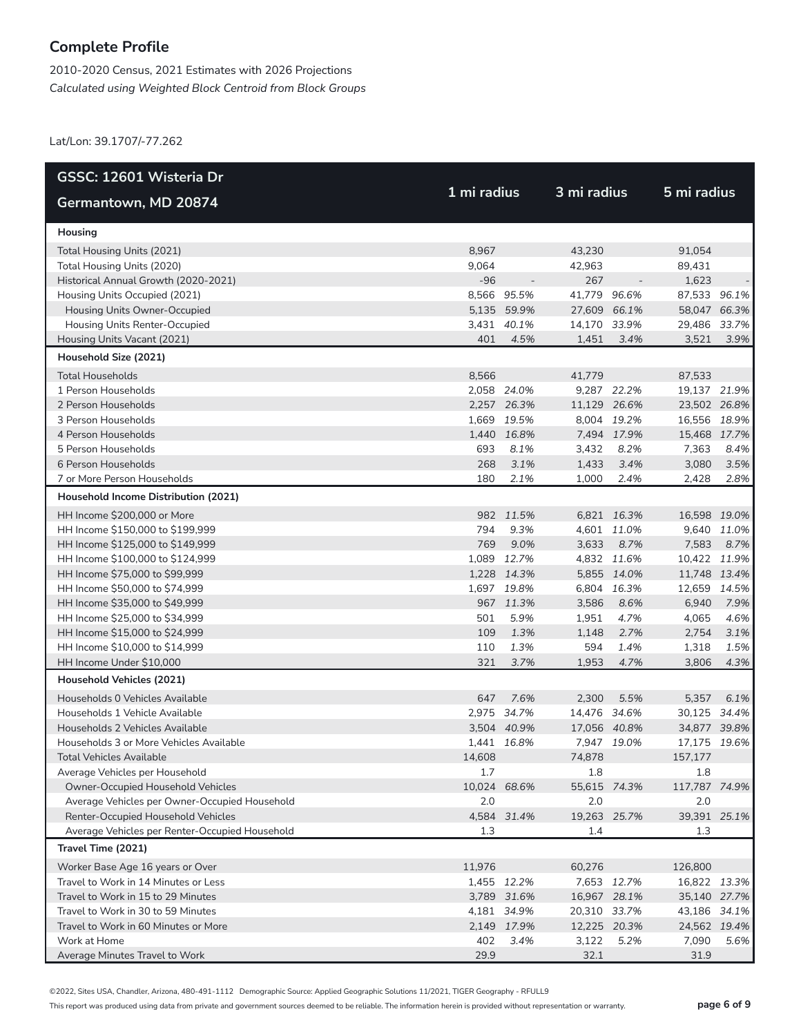2010-2020 Census, 2021 Estimates with 2026 Projections *Calculated using Weighted Block Centroid from Block Groups*

Lat/Lon: 39.1707/-77.262

| GSSC: 12601 Wisteria Dr                                                  |              |                            |              |             |                              |             |  |
|--------------------------------------------------------------------------|--------------|----------------------------|--------------|-------------|------------------------------|-------------|--|
| Germantown, MD 20874                                                     | 1 mi radius  |                            | 3 mi radius  |             | 5 mi radius                  |             |  |
| Housing                                                                  |              |                            |              |             |                              |             |  |
| Total Housing Units (2021)                                               | 8,967        |                            | 43,230       |             | 91,054                       |             |  |
| Total Housing Units (2020)                                               | 9,064        |                            | 42,963       |             | 89,431                       |             |  |
| Historical Annual Growth (2020-2021)                                     | $-96$        |                            | 267          |             | 1,623                        |             |  |
| Housing Units Occupied (2021)                                            |              | 8,566 95.5%                | 41,779       | 96.6%       | 87,533 96.1%                 |             |  |
| Housing Units Owner-Occupied                                             |              | 5,135 59.9%                | 27,609 66.1% |             | 58,047 66.3%                 |             |  |
| Housing Units Renter-Occupied                                            |              | 3.431 40.1%                | 14,170 33.9% |             | 29,486 33.7%                 |             |  |
| Housing Units Vacant (2021)                                              | 401          | 4.5%                       | 1,451        | 3.4%        | 3,521                        | 3.9%        |  |
| Household Size (2021)                                                    |              |                            |              |             |                              |             |  |
| <b>Total Households</b>                                                  | 8,566        |                            | 41,779       |             | 87,533                       |             |  |
| 1 Person Households                                                      |              | 2,058 24.0%                |              | 9,287 22.2% | 19,137 21.9%                 |             |  |
| 2 Person Households                                                      |              | 2,257 26.3%                | 11,129 26.6% |             | 23,502 26.8%                 |             |  |
| 3 Person Households                                                      | 1,669        | 19.5%                      |              | 8,004 19.2% | 16,556 18.9%                 |             |  |
| 4 Person Households                                                      |              | 1,440 16.8%                |              | 7,494 17.9% | 15,468 17.7%                 |             |  |
| 5 Person Households                                                      | 693          | 8.1%                       | 3,432        | 8.2%        | 7,363                        | 8.4%        |  |
| 6 Person Households                                                      | 268          | 3.1%                       | 1,433        | 3.4%        | 3,080                        | 3.5%        |  |
| 7 or More Person Households                                              | 180          | 2.1%                       | 1,000        | 2.4%        | 2,428                        | 2.8%        |  |
| Household Income Distribution (2021)                                     |              |                            |              |             |                              |             |  |
| HH Income \$200,000 or More                                              |              | 982 11.5%                  |              | 6,821 16.3% | 16,598 19.0%                 |             |  |
| HH Income \$150,000 to \$199,999                                         | 794          | 9.3%                       |              | 4,601 11.0% |                              | 9,640 11.0% |  |
| HH Income \$125,000 to \$149,999                                         | 769          | 9.0%                       | 3,633        | 8.7%        | 7,583                        | 8.7%        |  |
| HH Income \$100,000 to \$124,999                                         |              | 1,089 12.7%                |              | 4,832 11.6% | 10,422 11.9%                 |             |  |
| HH Income \$75,000 to \$99,999                                           |              | 1,228 14.3%                |              | 5,855 14.0% | 11,748 13.4%                 |             |  |
| HH Income \$50,000 to \$74,999                                           |              | 1,697 19.8%                |              | 6,804 16.3% | 12,659 14.5%                 |             |  |
| HH Income \$35,000 to \$49,999                                           |              | 967 11.3%                  | 3,586        | 8.6%        | 6,940                        | 7.9%        |  |
| HH Income \$25,000 to \$34,999                                           | 501          | 5.9%                       | 1,951        | 4.7%        | 4,065                        | 4.6%        |  |
| HH Income \$15,000 to \$24,999                                           | 109          | 1.3%                       | 1,148        | 2.7%        | 2,754                        | 3.1%        |  |
| HH Income \$10,000 to \$14,999                                           | 110          | 1.3%                       | 594          | 1.4%        | 1,318                        | 1.5%        |  |
| HH Income Under \$10,000                                                 | 321          | 3.7%                       | 1,953        | 4.7%        | 3,806                        | 4.3%        |  |
| Household Vehicles (2021)                                                |              |                            |              |             |                              |             |  |
| Households 0 Vehicles Available                                          | 647          | 7.6%                       | 2,300        | 5.5%        | 5,357                        | 6.1%        |  |
| Households 1 Vehicle Available                                           |              | 2,975 34.7%                | 14,476 34.6% |             | 30,125 34.4%                 |             |  |
| Households 2 Vehicles Available                                          |              | 3,504 40.9%                | 17,056 40.8% |             | 34,877 39.8%                 |             |  |
| Households 3 or More Vehicles Available                                  |              | 1.441 16.8%                |              | 7,947 19.0% | 17,175 19.6%                 |             |  |
| Total Vehicles Available                                                 | 14,608       |                            | 74,878       |             | 157,177                      |             |  |
| Average Vehicles per Household                                           | 1.7          |                            | 1.8          |             | 1.8                          |             |  |
| Owner-Occupied Household Vehicles                                        | 10,024 68.6% |                            | 55,615 74.3% |             | 117,787 74.9%                |             |  |
| Average Vehicles per Owner-Occupied Household                            | 2.0          |                            | 2.0          |             | 2.0                          |             |  |
| Renter-Occupied Household Vehicles                                       |              | 4,584 31.4%                | 19,263 25.7% |             | 39,391 25.1%                 |             |  |
| Average Vehicles per Renter-Occupied Household                           | 1.3          |                            | 1.4          |             | 1.3                          |             |  |
| Travel Time (2021)                                                       |              |                            |              |             |                              |             |  |
| Worker Base Age 16 years or Over<br>Travel to Work in 14 Minutes or Less | 11,976       |                            | 60,276       |             | 126,800                      |             |  |
|                                                                          |              | 1,455 12.2%<br>3,789 31.6% | 16,967 28.1% | 7,653 12.7% | 16,822 13.3%                 |             |  |
| Travel to Work in 15 to 29 Minutes<br>Travel to Work in 30 to 59 Minutes |              | 4,181 34.9%                | 20,310 33.7% |             | 35,140 27.7%<br>43,186 34.1% |             |  |
| Travel to Work in 60 Minutes or More                                     |              | 2,149 17.9%                | 12,225 20.3% |             | 24,562 19.4%                 |             |  |
| Work at Home                                                             | 402          | 3.4%                       | 3,122        | 5.2%        | 7,090                        | 5.6%        |  |
| Average Minutes Travel to Work                                           | 29.9         |                            | 32.1         |             | 31.9                         |             |  |

©2022, Sites USA, Chandler, Arizona, 480-491-1112 Demographic Source: Applied Geographic Solutions 11/2021, TIGER Geography - RFULL9

This report was produced using data from private and government sources deemed to be reliable. The information herein is provided without representation or warranty. **page 6 of 9**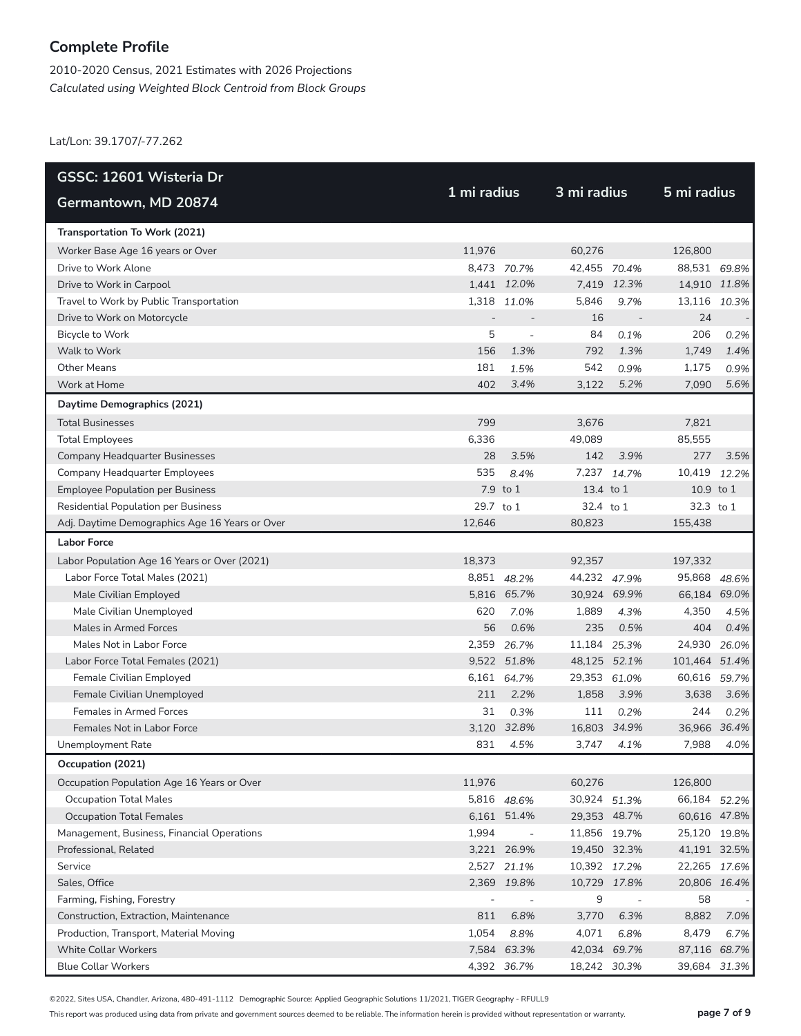2010-2020 Census, 2021 Estimates with 2026 Projections *Calculated using Weighted Block Centroid from Block Groups*

Lat/Lon: 39.1707/-77.262

| GSSC: 12601 Wisteria Dr                        |                          |                          | 3 mi radius  |                          |               |       |  |
|------------------------------------------------|--------------------------|--------------------------|--------------|--------------------------|---------------|-------|--|
| Germantown, MD 20874                           | 1 mi radius              |                          |              |                          | 5 mi radius   |       |  |
| Transportation To Work (2021)                  |                          |                          |              |                          |               |       |  |
| Worker Base Age 16 years or Over               | 11,976                   |                          | 60,276       |                          | 126,800       |       |  |
| Drive to Work Alone                            |                          | 8,473 70.7%              | 42,455 70.4% |                          | 88,531 69.8%  |       |  |
| Drive to Work in Carpool                       |                          | 1,441 12.0%              |              | 7,419 12.3%              | 14,910 11.8%  |       |  |
| Travel to Work by Public Transportation        |                          | 1,318 11.0%              | 5,846        | 9.7%                     | 13,116 10.3%  |       |  |
| Drive to Work on Motorcycle                    |                          |                          | 16           |                          | 24            |       |  |
| Bicycle to Work                                | 5                        |                          | 84           | 0.1%                     | 206           | 0.2%  |  |
| Walk to Work                                   | 156                      | 1.3%                     | 792          | 1.3%                     | 1,749         | 1.4%  |  |
| <b>Other Means</b>                             | 181                      | 1.5%                     | 542          | 0.9%                     | 1,175         | 0.9%  |  |
| Work at Home                                   | 402                      | 3.4%                     | 3,122        | 5.2%                     | 7,090         | 5.6%  |  |
| Daytime Demographics (2021)                    |                          |                          |              |                          |               |       |  |
| <b>Total Businesses</b>                        | 799                      |                          | 3,676        |                          | 7,821         |       |  |
| <b>Total Employees</b>                         | 6,336                    |                          | 49.089       |                          | 85,555        |       |  |
| Company Headquarter Businesses                 | 28                       | 3.5%                     | 142          | 3.9%                     | 277           | 3.5%  |  |
| Company Headquarter Employees                  | 535                      | 8.4%                     |              | 7,237 14.7%              | 10,419 12.2%  |       |  |
| <b>Employee Population per Business</b>        |                          | 7.9 to 1                 | 13.4 to 1    |                          | 10.9 to 1     |       |  |
| <b>Residential Population per Business</b>     | 29.7 to 1                |                          | 32.4 to 1    |                          | 32.3 to 1     |       |  |
| Adj. Daytime Demographics Age 16 Years or Over | 12,646                   |                          | 80,823       |                          | 155,438       |       |  |
| <b>Labor Force</b>                             |                          |                          |              |                          |               |       |  |
| Labor Population Age 16 Years or Over (2021)   | 18,373                   |                          | 92,357       |                          | 197,332       |       |  |
| Labor Force Total Males (2021)                 |                          | 8,851 48.2%              | 44,232 47.9% |                          | 95,868 48.6%  |       |  |
| Male Civilian Employed                         |                          | 5,816 65.7%              | 30,924 69.9% |                          | 66,184 69.0%  |       |  |
| Male Civilian Unemployed                       | 620                      | 7.0%                     | 1,889        | 4.3%                     | 4,350         | 4.5%  |  |
| Males in Armed Forces                          | 56                       | 0.6%                     | 235          | 0.5%                     | 404           | 0.4%  |  |
| Males Not in Labor Force                       |                          | 2,359 26.7%              | 11,184 25.3% |                          | 24,930        | 26.0% |  |
| Labor Force Total Females (2021)               |                          | 9,522 51.8%              | 48,125 52.1% |                          | 101,464 51.4% |       |  |
| Female Civilian Employed                       | 6,161                    | 64.7%                    | 29,353 61.0% |                          | 60,616        | 59.7% |  |
| Female Civilian Unemployed                     | 211                      | 2.2%                     | 1,858        | 3.9%                     | 3,638         | 3.6%  |  |
| <b>Females in Armed Forces</b>                 | 31                       | 0.3%                     | 111          | 0.2%                     | 244           | 0.2%  |  |
| Females Not in Labor Force                     |                          | 3,120 32.8%              | 16,803 34.9% |                          | 36,966 36.4%  |       |  |
| <b>Unemployment Rate</b>                       | 831                      | 4.5%                     | 3,747        | 4.1%                     | 7,988         | 4.0%  |  |
| Occupation (2021)                              |                          |                          |              |                          |               |       |  |
| Occupation Population Age 16 Years or Over     | 11,976                   |                          | 60,276       |                          | 126,800       |       |  |
| <b>Occupation Total Males</b>                  |                          | 5,816 48.6%              | 30,924 51.3% |                          | 66,184 52.2%  |       |  |
| <b>Occupation Total Females</b>                |                          | 6,161 51.4%              | 29,353 48.7% |                          | 60,616 47.8%  |       |  |
| Management, Business, Financial Operations     | 1,994                    | $\overline{\phantom{a}}$ | 11,856 19.7% |                          | 25,120 19.8%  |       |  |
| Professional, Related                          |                          | 3,221 26.9%              | 19,450 32.3% |                          | 41,191 32.5%  |       |  |
| Service                                        |                          | 2,527 21.1%              | 10,392 17.2% |                          | 22,265 17.6%  |       |  |
| Sales, Office                                  |                          | 2,369 19.8%              | 10,729 17.8% |                          | 20,806 16.4%  |       |  |
| Farming, Fishing, Forestry                     | $\overline{\phantom{a}}$ | $\overline{\phantom{a}}$ | 9            | $\overline{\phantom{a}}$ | 58            |       |  |
| Construction, Extraction, Maintenance          | 811                      | 6.8%                     | 3,770        | 6.3%                     | 8,882         | 7.0%  |  |
| Production, Transport, Material Moving         | 1,054                    | 8.8%                     | 4,071        | 6.8%                     | 8,479         | 6.7%  |  |
| <b>White Collar Workers</b>                    |                          | 7,584 63.3%              | 42,034 69.7% |                          | 87,116 68.7%  |       |  |
| <b>Blue Collar Workers</b>                     |                          | 4,392 36.7%              | 18,242 30.3% |                          | 39,684        | 31.3% |  |

©2022, Sites USA, Chandler, Arizona, 480-491-1112 Demographic Source: Applied Geographic Solutions 11/2021, TIGER Geography - RFULL9

This report was produced using data from private and government sources deemed to be reliable. The information herein is provided without representation or warranty. **page 7 of 9**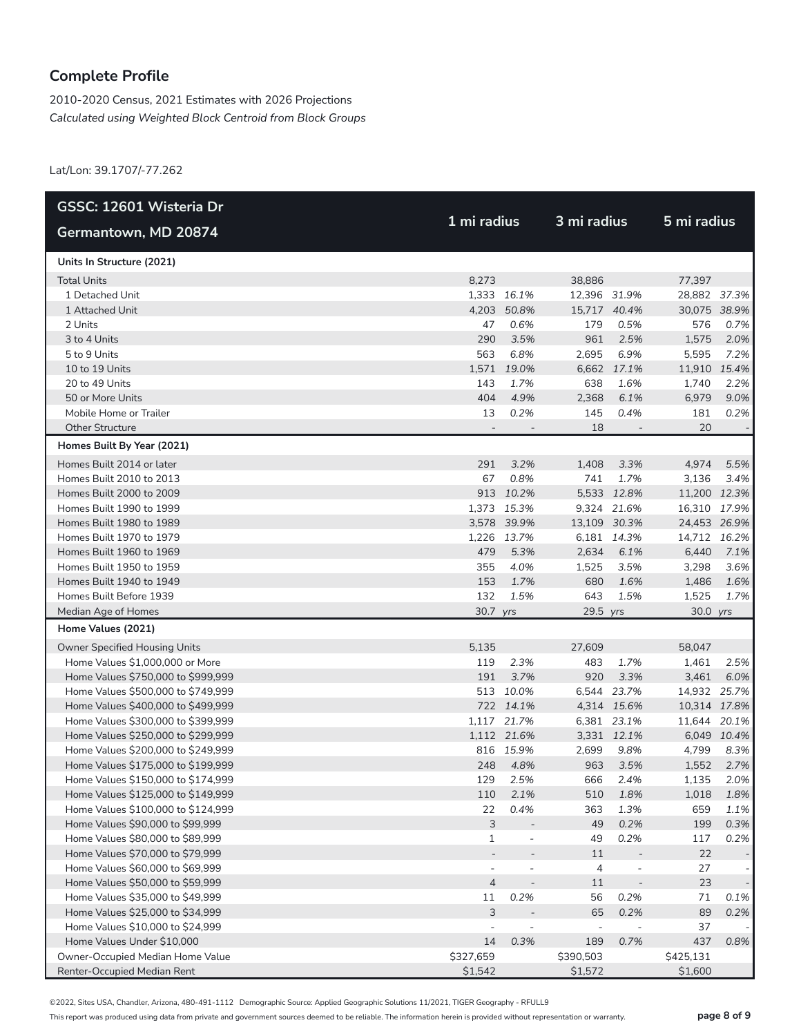2010-2020 Census, 2021 Estimates with 2026 Projections *Calculated using Weighted Block Centroid from Block Groups*

Lat/Lon: 39.1707/-77.262

| GSSC: 12601 Wisteria Dr            |                          |                          |                          |                |              |             |
|------------------------------------|--------------------------|--------------------------|--------------------------|----------------|--------------|-------------|
| Germantown, MD 20874               | 1 mi radius              |                          | 3 mi radius              |                | 5 mi radius  |             |
| Units In Structure (2021)          |                          |                          |                          |                |              |             |
| <b>Total Units</b>                 | 8,273                    |                          | 38,886                   |                | 77,397       |             |
| 1 Detached Unit                    |                          | 1,333 16.1%              | 12,396 31.9%             |                | 28,882 37.3% |             |
| 1 Attached Unit                    |                          | 4,203 50.8%              | 15,717 40.4%             |                | 30,075 38.9% |             |
| 2 Units                            | 47                       | 0.6%                     | 179                      | 0.5%           | 576          | 0.7%        |
| 3 to 4 Units                       | 290                      | 3.5%                     | 961                      | 2.5%           | 1,575        | 2.0%        |
| 5 to 9 Units                       | 563                      | 6.8%                     | 2,695                    | 6.9%           | 5,595        | 7.2%        |
| 10 to 19 Units                     |                          | 1,571 19.0%              | 6,662                    | 17.1%          | 11,910 15.4% |             |
| 20 to 49 Units                     | 143                      | 1.7%                     | 638                      | 1.6%           | 1,740        | 2.2%        |
| 50 or More Units                   | 404                      | 4.9%                     | 2,368                    | 6.1%           | 6,979        | 9.0%        |
| Mobile Home or Trailer             | 13                       | 0.2%                     | 145                      | 0.4%           | 181          | 0.2%        |
| <b>Other Structure</b>             |                          |                          | 18                       |                | 20           |             |
| Homes Built By Year (2021)         |                          |                          |                          |                |              |             |
| Homes Built 2014 or later          | 291                      | 3.2%                     | 1,408                    | 3.3%           | 4,974        | 5.5%        |
| Homes Built 2010 to 2013           | 67                       | 0.8%                     | 741                      | 1.7%           | 3,136        | 3.4%        |
| Homes Built 2000 to 2009           |                          | 913 10.2%                |                          | 5,533 12.8%    | 11,200 12.3% |             |
| Homes Built 1990 to 1999           |                          | 1,373 15.3%              |                          | 9,324 21.6%    | 16,310 17.9% |             |
| Homes Built 1980 to 1989           |                          | 3.578 39.9%              | 13,109 30.3%             |                | 24,453 26.9% |             |
| Homes Built 1970 to 1979           |                          | 1,226 13.7%              |                          | 6,181 14.3%    | 14,712 16.2% |             |
| Homes Built 1960 to 1969           | 479                      | 5.3%                     | 2,634                    | 6.1%           | 6,440        | 7.1%        |
| Homes Built 1950 to 1959           | 355                      | 4.0%                     | 1,525                    | 3.5%           | 3,298        | 3.6%        |
| Homes Built 1940 to 1949           | 153                      | 1.7%                     | 680                      | 1.6%           | 1,486        | 1.6%        |
| Homes Built Before 1939            | 132                      | 1.5%                     | 643                      | 1.5%           | 1,525        | 1.7%        |
| Median Age of Homes                | 30.7 yrs                 |                          | 29.5 yrs                 |                | 30.0 yrs     |             |
| Home Values (2021)                 |                          |                          |                          |                |              |             |
| Owner Specified Housing Units      | 5,135                    |                          | 27,609                   |                | 58,047       |             |
| Home Values \$1,000,000 or More    | 119                      | 2.3%                     | 483                      | 1.7%           | 1,461        | 2.5%        |
| Home Values \$750,000 to \$999,999 | 191                      | 3.7%                     | 920                      | 3.3%           | 3,461        | 6.0%        |
| Home Values \$500,000 to \$749,999 |                          | 513 10.0%                |                          | 6,544 23.7%    | 14,932 25.7% |             |
| Home Values \$400,000 to \$499,999 |                          | 722 14.1%                |                          | 4,314 15.6%    | 10,314 17.8% |             |
| Home Values \$300,000 to \$399,999 |                          | 1,117 21.7%              |                          | 6,381 23.1%    | 11,644 20.1% |             |
| Home Values \$250,000 to \$299,999 |                          | 1,112 21.6%              |                          | 3,331 12.1%    |              | 6,049 10.4% |
| Home Values \$200,000 to \$249,999 |                          | 816 15.9%                | 2,699                    | 9.8%           | 4,799        | 8.3%        |
| Home Values \$175,000 to \$199,999 | 248                      | 4.8%                     | 963                      | 3.5%           | 1,552        | 2.7%        |
| Home Values \$150,000 to \$174,999 | 129                      | 2.5%                     | 666                      | 2.4%           | 1.135        | 2.0%        |
| Home Values \$125,000 to \$149,999 | 110                      | 2.1%                     | 510                      | 1.8%           | 1,018        | 1.8%        |
| Home Values \$100,000 to \$124,999 | 22                       | 0.4%                     | 363                      | 1.3%           | 659          | 1.1%        |
| Home Values \$90,000 to \$99,999   | 3                        | $\overline{a}$           | 49                       | 0.2%           | 199          | 0.3%        |
| Home Values \$80,000 to \$89,999   | 1                        | $\overline{a}$           | 49                       | 0.2%           | 117          | 0.2%        |
| Home Values \$70,000 to \$79,999   |                          |                          | 11                       |                | 22           |             |
| Home Values \$60,000 to \$69,999   | $\overline{\phantom{a}}$ | $\overline{\phantom{a}}$ | $\overline{4}$           | $\overline{a}$ | 27           |             |
| Home Values \$50,000 to \$59,999   | $\overline{4}$           | $\overline{\phantom{a}}$ | 11                       | $\overline{a}$ | 23           |             |
| Home Values \$35,000 to \$49,999   | 11                       | 0.2%                     | 56                       | 0.2%           | 71           | 0.1%        |
| Home Values \$25,000 to \$34,999   | 3                        |                          | 65                       | 0.2%           | 89           | 0.2%        |
| Home Values \$10,000 to \$24,999   |                          |                          | $\overline{\phantom{a}}$ |                | 37           |             |
| Home Values Under \$10,000         | 14                       | 0.3%                     | 189                      | 0.7%           | 437          | 0.8%        |
| Owner-Occupied Median Home Value   | \$327,659                |                          | \$390,503                |                | \$425,131    |             |
| Renter-Occupied Median Rent        | \$1,542                  |                          | \$1,572                  |                | \$1,600      |             |

©2022, Sites USA, Chandler, Arizona, 480-491-1112 Demographic Source: Applied Geographic Solutions 11/2021, TIGER Geography - RFULL9

This report was produced using data from private and government sources deemed to be reliable. The information herein is provided without representation or warranty. **page 8 of 9**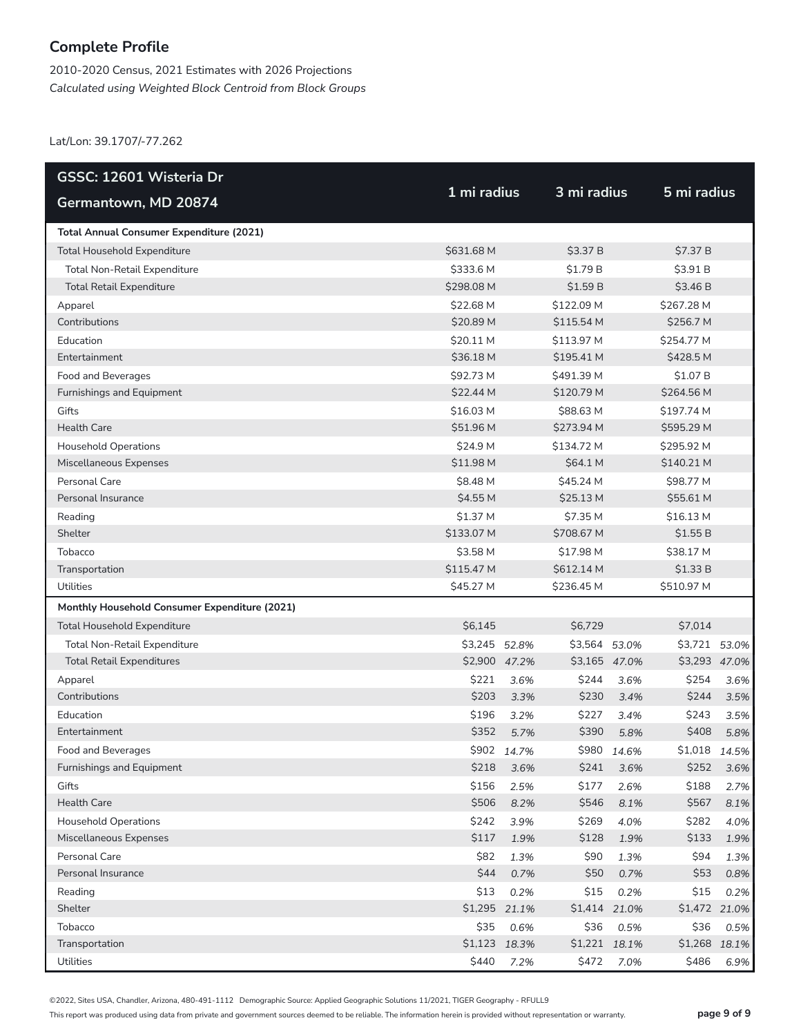2010-2020 Census, 2021 Estimates with 2026 Projections *Calculated using Weighted Block Centroid from Block Groups*

Lat/Lon: 39.1707/-77.262

| GSSC: 12601 Wisteria Dr                         |               |               |               |       |               |       |
|-------------------------------------------------|---------------|---------------|---------------|-------|---------------|-------|
| Germantown, MD 20874                            | 1 mi radius   |               | 3 mi radius   |       | 5 mi radius   |       |
| <b>Total Annual Consumer Expenditure (2021)</b> |               |               |               |       |               |       |
| <b>Total Household Expenditure</b>              | \$631.68 M    |               | \$3.37 B      |       | \$7.37 B      |       |
| Total Non-Retail Expenditure                    | \$333.6 M     |               | \$1.79 B      |       | \$3.91 B      |       |
| <b>Total Retail Expenditure</b>                 | \$298.08 M    |               | \$1.59B       |       | \$3.46 B      |       |
| Apparel                                         | \$22.68 M     |               | \$122.09 M    |       | \$267.28 M    |       |
| Contributions                                   | \$20.89 M     |               | \$115.54 M    |       | \$256.7 M     |       |
| Education                                       | \$20.11 M     |               | \$113.97 M    |       | \$254.77 M    |       |
| Entertainment                                   | \$36.18 M     |               | \$195.41 M    |       | \$428.5 M     |       |
| Food and Beverages                              | \$92.73 M     |               | \$491.39 M    |       | \$1.07 B      |       |
| Furnishings and Equipment                       | \$22.44 M     |               | \$120.79 M    |       | \$264.56 M    |       |
| Gifts                                           | \$16.03 M     |               | \$88.63 M     |       | \$197.74 M    |       |
| <b>Health Care</b>                              | \$51.96 M     |               | \$273.94 M    |       | \$595.29 M    |       |
| <b>Household Operations</b>                     | \$24.9 M      |               | \$134.72 M    |       | \$295.92 M    |       |
| Miscellaneous Expenses                          | \$11.98 M     |               | \$64.1 M      |       | \$140.21 M    |       |
| Personal Care                                   | \$8.48 M      |               | \$45.24 M     |       | \$98.77 M     |       |
| Personal Insurance                              | \$4.55 M      |               | \$25.13 M     |       | \$55.61 M     |       |
| Reading                                         | \$1.37 M      |               | \$7.35 M      |       | \$16.13 M     |       |
| Shelter                                         | \$133.07 M    |               | \$708.67 M    |       | \$1.55 B      |       |
| Tobacco                                         | \$3.58 M      |               | \$17.98 M     |       | \$38.17 M     |       |
| Transportation                                  | \$115.47 M    |               | \$612.14 M    |       | \$1.33 B      |       |
| Utilities                                       | \$45.27 M     |               | \$236.45 M    |       | \$510.97 M    |       |
| Monthly Household Consumer Expenditure (2021)   |               |               |               |       |               |       |
| <b>Total Household Expenditure</b>              | \$6,145       |               | \$6,729       |       | \$7,014       |       |
| Total Non-Retail Expenditure                    | \$3,245 52.8% |               | \$3,564       | 53.0% | \$3,721       | 53.0% |
| <b>Total Retail Expenditures</b>                |               | \$2,900 47.2% | \$3,165 47.0% |       | \$3,293 47.0% |       |
| Apparel                                         | \$221         | 3.6%          | \$244         | 3.6%  | \$254         | 3.6%  |
| Contributions                                   | \$203         | 3.3%          | \$230         | 3.4%  | \$244         | 3.5%  |
| Education                                       | \$196         | 3.2%          | \$227         | 3.4%  | \$243         | 3.5%  |
| Entertainment                                   | \$352         | 5.7%          | \$390         | 5.8%  | \$408         | 5.8%  |
| Food and Beverages                              |               | \$902 14.7%   | \$980         | 14.6% | \$1,018       | 14.5% |
| Furnishings and Equipment                       | \$218         | 3.6%          | \$241         | 3.6%  | \$252         | 3.6%  |
| Gifts                                           | \$156         | 2.5%          | \$177         | 2.6%  | \$188         | 2.7%  |
| Health Care                                     | \$506         | 8.2%          | \$546         | 8.1%  | \$567         | 8.1%  |
| <b>Household Operations</b>                     | \$242         | 3.9%          | \$269         | 4.0%  | \$282         | 4.0%  |
| Miscellaneous Expenses                          | \$117         | 1.9%          | \$128         | 1.9%  | \$133         | 1.9%  |
| Personal Care                                   | \$82          | 1.3%          | \$90          | 1.3%  | \$94          | 1.3%  |
| Personal Insurance                              | \$44          | 0.7%          | \$50          | 0.7%  | \$53          | 0.8%  |
| Reading                                         | \$13          | 0.2%          | \$15          | 0.2%  | \$15          | 0.2%  |
| Shelter                                         | \$1,295       | 21.1%         | \$1,414 21.0% |       | \$1,472 21.0% |       |
| Tobacco                                         | \$35          | 0.6%          | \$36          | 0.5%  | \$36          | 0.5%  |
| Transportation                                  |               | \$1,123 18.3% | \$1,221 18.1% |       | \$1,268 18.1% |       |
| Utilities                                       | \$440         | 7.2%          | \$472         | 7.0%  | \$486         | 6.9%  |

©2022, Sites USA, Chandler, Arizona, 480-491-1112 Demographic Source: Applied Geographic Solutions 11/2021, TIGER Geography - RFULL9

This report was produced using data from private and government sources deemed to be reliable. The information herein is provided without representation or warranty. **page 9 of 9**